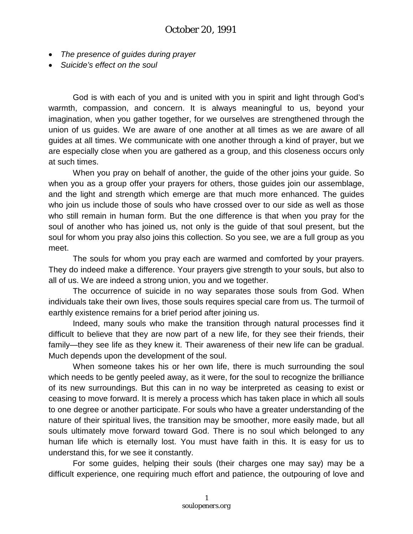- *The presence of guides during prayer*
- *Suicide's effect on the soul*

God is with each of you and is united with you in spirit and light through God's warmth, compassion, and concern. It is always meaningful to us, beyond your imagination, when you gather together, for we ourselves are strengthened through the union of us guides. We are aware of one another at all times as we are aware of all guides at all times. We communicate with one another through a kind of prayer, but we are especially close when you are gathered as a group, and this closeness occurs only at such times.

When you pray on behalf of another, the guide of the other joins your guide. So when you as a group offer your prayers for others, those guides join our assemblage, and the light and strength which emerge are that much more enhanced. The guides who join us include those of souls who have crossed over to our side as well as those who still remain in human form. But the one difference is that when you pray for the soul of another who has joined us, not only is the guide of that soul present, but the soul for whom you pray also joins this collection. So you see, we are a full group as you meet.

The souls for whom you pray each are warmed and comforted by your prayers. They do indeed make a difference. Your prayers give strength to your souls, but also to all of us. We are indeed a strong union, you and we together.

The occurrence of suicide in no way separates those souls from God. When individuals take their own lives, those souls requires special care from us. The turmoil of earthly existence remains for a brief period after joining us.

Indeed, many souls who make the transition through natural processes find it difficult to believe that they are now part of a new life, for they see their friends, their family—they see life as they knew it. Their awareness of their new life can be gradual. Much depends upon the development of the soul.

When someone takes his or her own life, there is much surrounding the soul which needs to be gently peeled away, as it were, for the soul to recognize the brilliance of its new surroundings. But this can in no way be interpreted as ceasing to exist or ceasing to move forward. It is merely a process which has taken place in which all souls to one degree or another participate. For souls who have a greater understanding of the nature of their spiritual lives, the transition may be smoother, more easily made, but all souls ultimately move forward toward God. There is no soul which belonged to any human life which is eternally lost. You must have faith in this. It is easy for us to understand this, for we see it constantly.

For some guides, helping their souls (their charges one may say) may be a difficult experience, one requiring much effort and patience, the outpouring of love and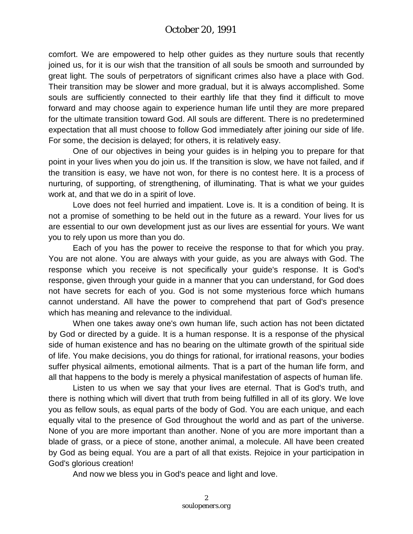comfort. We are empowered to help other guides as they nurture souls that recently joined us, for it is our wish that the transition of all souls be smooth and surrounded by great light. The souls of perpetrators of significant crimes also have a place with God. Their transition may be slower and more gradual, but it is always accomplished. Some souls are sufficiently connected to their earthly life that they find it difficult to move forward and may choose again to experience human life until they are more prepared for the ultimate transition toward God. All souls are different. There is no predetermined expectation that all must choose to follow God immediately after joining our side of life. For some, the decision is delayed; for others, it is relatively easy.

One of our objectives in being your guides is in helping you to prepare for that point in your lives when you do join us. If the transition is slow, we have not failed, and if the transition is easy, we have not won, for there is no contest here. It is a process of nurturing, of supporting, of strengthening, of illuminating. That is what we your guides work at, and that we do in a spirit of love.

Love does not feel hurried and impatient. Love is. It is a condition of being. It is not a promise of something to be held out in the future as a reward. Your lives for us are essential to our own development just as our lives are essential for yours. We want you to rely upon us more than you do.

Each of you has the power to receive the response to that for which you pray. You are not alone. You are always with your guide, as you are always with God. The response which you receive is not specifically your guide's response. It is God's response, given through your guide in a manner that you can understand, for God does not have secrets for each of you. God is not some mysterious force which humans cannot understand. All have the power to comprehend that part of God's presence which has meaning and relevance to the individual.

When one takes away one's own human life, such action has not been dictated by God or directed by a guide. It is a human response. It is a response of the physical side of human existence and has no bearing on the ultimate growth of the spiritual side of life. You make decisions, you do things for rational, for irrational reasons, your bodies suffer physical ailments, emotional ailments. That is a part of the human life form, and all that happens to the body is merely a physical manifestation of aspects of human life.

Listen to us when we say that your lives are eternal. That is God's truth, and there is nothing which will divert that truth from being fulfilled in all of its glory. We love you as fellow souls, as equal parts of the body of God. You are each unique, and each equally vital to the presence of God throughout the world and as part of the universe. None of you are more important than another. None of you are more important than a blade of grass, or a piece of stone, another animal, a molecule. All have been created by God as being equal. You are a part of all that exists. Rejoice in your participation in God's glorious creation!

And now we bless you in God's peace and light and love.